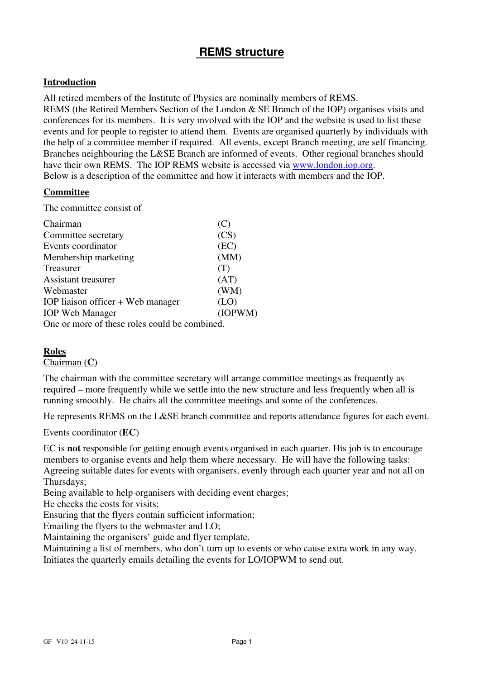# **REMS structure**

# **Introduction**

All retired members of the Institute of Physics are nominally members of REMS.

REMS (the Retired Members Section of the London & SE Branch of the IOP) organises visits and conferences for its members. It is very involved with the IOP and the website is used to list these events and for people to register to attend them. Events are organised quarterly by individuals with the help of a committee member if required. All events, except Branch meeting, are self financing. Branches neighbouring the L&SE Branch are informed of events. Other regional branches should have their own REMS. The IOP REMS website is accessed via www.london.iop.org. Below is a description of the committee and how it interacts with members and the IOP.

# **Committee**

The committee consist of

| Chairman                                      | (C      |
|-----------------------------------------------|---------|
| Committee secretary                           | (CS)    |
| Events coordinator                            | (EC)    |
| Membership marketing                          | (MM)    |
| Treasurer                                     | (T)     |
| Assistant treasurer                           | (AT)    |
| Webmaster                                     | (WM)    |
| IOP liaison officer + Web manager             | (LO)    |
| <b>IOP</b> Web Manager                        | (IOPWM) |
| One or more of these roles could be combined. |         |

## **Roles**

Chairman (**C**)

The chairman with the committee secretary will arrange committee meetings as frequently as required – more frequently while we settle into the new structure and less frequently when all is running smoothly. He chairs all the committee meetings and some of the conferences.

He represents REMS on the L&SE branch committee and reports attendance figures for each event.

### Events coordinator (**EC**)

EC is **not** responsible for getting enough events organised in each quarter. His job is to encourage members to organise events and help them where necessary. He will have the following tasks: Agreeing suitable dates for events with organisers, evenly through each quarter year and not all on Thursdays;

Being available to help organisers with deciding event charges;

He checks the costs for visits;

Ensuring that the flyers contain sufficient information;

Emailing the flyers to the webmaster and LO;

Maintaining the organisers' guide and flyer template.

Maintaining a list of members, who don't turn up to events or who cause extra work in any way. Initiates the quarterly emails detailing the events for LO/IOPWM to send out.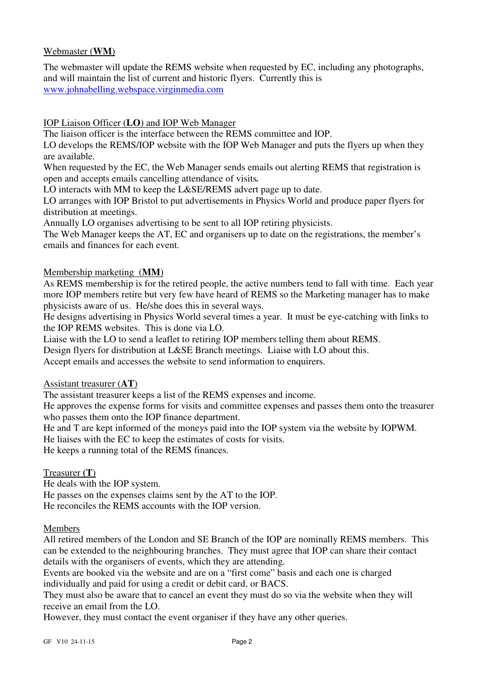# Webmaster (**WM**)

The webmaster will update the REMS website when requested by EC, including any photographs, and will maintain the list of current and historic flyers. Currently this is www.johnabelling.webspace.virginmedia.com

# IOP Liaison Officer (**LO**) and IOP Web Manager

The liaison officer is the interface between the REMS committee and IOP.

LO develops the REMS/IOP website with the IOP Web Manager and puts the flyers up when they are available.

When requested by the EC, the Web Manager sends emails out alerting REMS that registration is open and accepts emails cancelling attendance of visits*.*

LO interacts with MM to keep the L&SE/REMS advert page up to date.

LO arranges with IOP Bristol to put advertisements in Physics World and produce paper flyers for distribution at meetings.

Annually LO organises advertising to be sent to all IOP retiring physicists.

The Web Manager keeps the AT, EC and organisers up to date on the registrations, the member's emails and finances for each event.

# Membership marketing (**MM**)

As REMS membership is for the retired people, the active numbers tend to fall with time. Each year more IOP members retire but very few have heard of REMS so the Marketing manager has to make physicists aware of us. He/she does this in several ways.

He designs advertising in Physics World several times a year. It must be eye-catching with links to the IOP REMS websites. This is done via LO.

Liaise with the LO to send a leaflet to retiring IOP members telling them about REMS.

Design flyers for distribution at L&SE Branch meetings. Liaise with LO about this.

Accept emails and accesses the website to send information to enquirers.

### Assistant treasurer (**AT**)

The assistant treasurer keeps a list of the REMS expenses and income.

He approves the expense forms for visits and committee expenses and passes them onto the treasurer who passes them onto the IOP finance department.

He and T are kept informed of the moneys paid into the IOP system via the website by IOPWM.

He liaises with the EC to keep the estimates of costs for visits.

He keeps a running total of the REMS finances.

### Treasurer **(T**)

He deals with the IOP system.

He passes on the expenses claims sent by the AT to the IOP.

He reconciles the REMS accounts with the IOP version.

### Members

All retired members of the London and SE Branch of the IOP are nominally REMS members. This can be extended to the neighbouring branches. They must agree that IOP can share their contact details with the organisers of events, which they are attending.

Events are booked via the website and are on a "first come" basis and each one is charged individually and paid for using a credit or debit card, or BACS.

They must also be aware that to cancel an event they must do so via the website when they will receive an email from the LO.

However, they must contact the event organiser if they have any other queries.